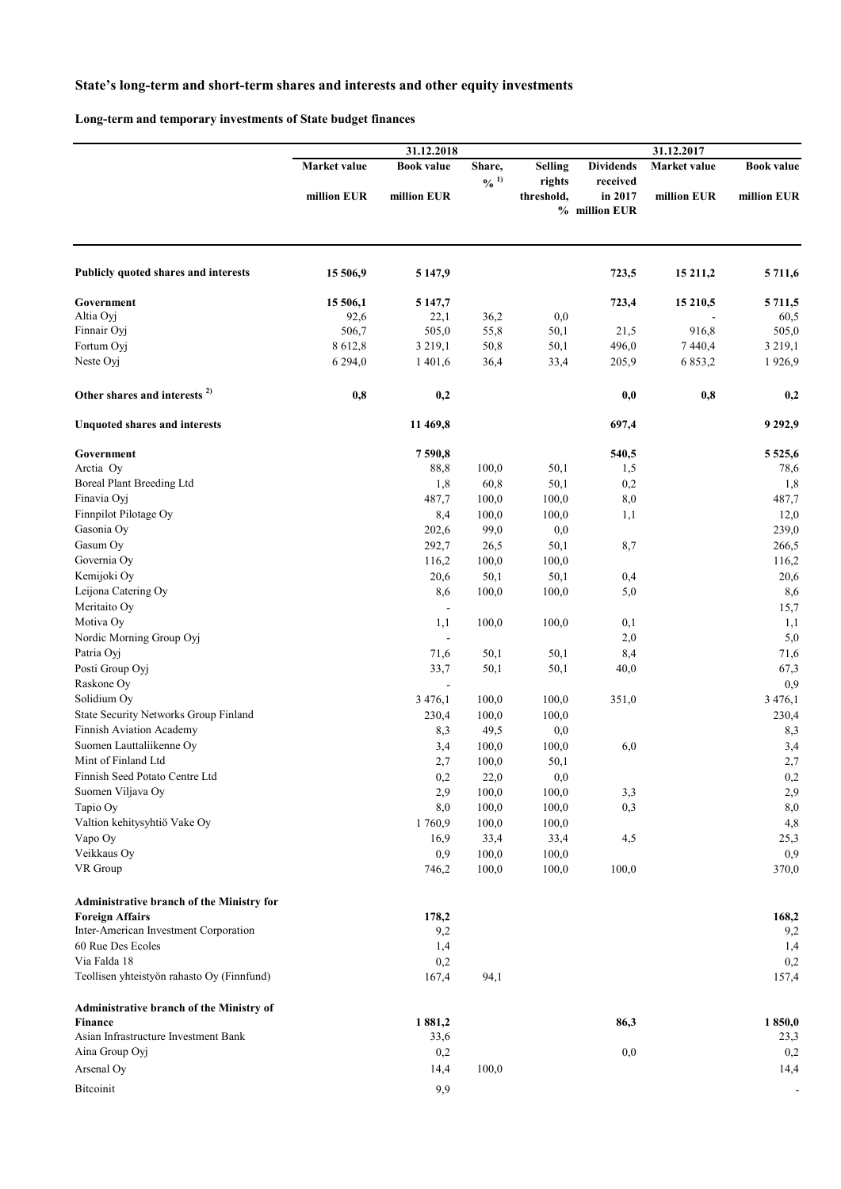## **State's long-term and short-term shares and interests and other equity investments**

**Long-term and temporary investments of State budget finances**

|                                                            | 31.12.2018<br>31.12.2017 |                          |                             |                      |                                      |              |                   |
|------------------------------------------------------------|--------------------------|--------------------------|-----------------------------|----------------------|--------------------------------------|--------------|-------------------|
|                                                            | Market value             | <b>Book value</b>        | Share,                      | <b>Selling</b>       | <b>Dividends</b>                     | Market value | <b>Book value</b> |
|                                                            | million EUR              | million EUR              | $\frac{0}{0}$ <sup>1)</sup> | rights<br>threshold, | received<br>in 2017<br>% million EUR | million EUR  | million EUR       |
|                                                            |                          |                          |                             |                      |                                      |              |                   |
| Publicly quoted shares and interests                       | 15 506,9                 | 5 147,9                  |                             |                      | 723,5                                | 15 211,2     | 5 711,6           |
| Government                                                 | 15 506,1                 | 5 147,7                  |                             |                      | 723,4                                | 15 210,5     | 5 711,5           |
| Altia Oyj                                                  | 92,6                     | 22,1                     | 36,2                        | 0,0                  |                                      |              | 60,5              |
| Finnair Oyj                                                | 506,7                    | 505,0                    | 55,8                        | $50,1$               | 21,5                                 | 916,8        | 505,0             |
| Fortum Oyj                                                 | 8 612,8                  | 3 2 1 9 , 1              | 50,8                        | 50,1                 | 496,0                                | 7440,4       | 3 2 1 9 , 1       |
| Neste Oyj                                                  | 6 2 9 4 , 0              | 1 401,6                  | 36,4                        | 33,4                 | 205,9                                | 6 853,2      | 1926,9            |
| Other shares and interests <sup>2)</sup>                   | 0,8                      | 0,2                      |                             |                      | 0,0                                  | 0,8          | 0,2               |
| <b>Unquoted shares and interests</b>                       |                          | 11 469,8                 |                             |                      | 697,4                                |              | 9 2 9 2,9         |
| Government                                                 |                          | 7590,8                   |                             |                      | 540,5                                |              | 5 5 2 5 , 6       |
| Arctia Oy                                                  |                          | 88,8                     | 100,0                       | 50,1                 | 1,5                                  |              | 78,6              |
| Boreal Plant Breeding Ltd                                  |                          | 1,8                      | 60,8                        | 50,1                 | 0,2                                  |              | 1,8               |
| Finavia Oyj                                                |                          | 487,7                    | 100,0                       | 100,0                | 8,0                                  |              | 487,7             |
| Finnpilot Pilotage Oy                                      |                          | 8,4                      | 100,0                       | 100,0                | 1,1                                  |              | 12,0              |
| Gasonia Oy                                                 |                          | 202,6                    | 99,0                        | 0,0                  |                                      |              | 239,0             |
| Gasum Oy                                                   |                          | 292,7                    | 26,5                        | 50,1                 | 8,7                                  |              | 266,5             |
| Governia Oy                                                |                          | 116,2                    | 100,0                       | 100,0                |                                      |              | 116,2             |
| Kemijoki Oy                                                |                          | 20,6                     | 50,1                        | 50,1                 | 0,4                                  |              | 20,6              |
| Leijona Catering Oy                                        |                          | 8,6                      | 100,0                       | 100,0                | 5,0                                  |              | 8,6               |
| Meritaito Oy                                               |                          | $\overline{\phantom{a}}$ |                             |                      |                                      |              | 15,7              |
| Motiva Oy                                                  |                          | 1,1                      | 100,0                       | 100,0                | 0,1                                  |              | 1,1               |
| Nordic Morning Group Oyj                                   |                          |                          |                             |                      | 2,0                                  |              | 5,0               |
| Patria Oyj                                                 |                          | 71,6                     | 50,1                        | 50,1                 | 8,4                                  |              | 71,6              |
| Posti Group Oyj                                            |                          | 33,7                     | 50,1                        | 50,1                 | 40,0                                 |              | 67,3              |
| Raskone Oy                                                 |                          | $\blacksquare$           |                             |                      |                                      |              | 0,9               |
| Solidium Oy                                                |                          | 3 4 7 6, 1               | 100,0                       | 100,0                | 351,0                                |              | 3 4 7 6, 1        |
| <b>State Security Networks Group Finland</b>               |                          | 230,4                    | 100,0                       | 100,0                |                                      |              | 230,4             |
| Finnish Aviation Academy                                   |                          | 8,3                      | 49,5                        | 0,0                  |                                      |              | 8,3               |
| Suomen Lauttaliikenne Oy                                   |                          | 3,4                      | 100,0                       | 100,0                | 6,0                                  |              | 3,4               |
| Mint of Finland Ltd                                        |                          | 2,7                      | 100,0                       | 50,1                 |                                      |              | 2,7               |
| Finnish Seed Potato Centre Ltd                             |                          | 0,2                      | 22,0                        | $_{0,0}$             |                                      |              | $_{0,2}$          |
| Suomen Viljava Oy                                          |                          | 2,9                      | 100,0                       | 100,0                | 3,3                                  |              | 2,9               |
| Tapio Oy                                                   |                          | 8,0                      | 100,0                       | 100,0                | 0,3                                  |              | 8,0               |
| Valtion kehitysyhtiö Vake Oy                               |                          | 1760,9                   | 100,0                       | 100,0                |                                      |              | 4,8               |
| Vapo Oy                                                    |                          | 16,9                     | 33,4                        | 33,4                 | 4,5                                  |              | 25,3              |
| Veikkaus Oy<br>VR Group                                    |                          | 0,9                      | 100,0<br>100,0              | 100,0<br>100,0       | 100,0                                |              | 0,9               |
|                                                            |                          | 746,2                    |                             |                      |                                      |              | 370,0             |
| <b>Administrative branch of the Ministry for</b>           |                          |                          |                             |                      |                                      |              |                   |
| <b>Foreign Affairs</b>                                     |                          | 178,2                    |                             |                      |                                      |              | 168,2             |
| Inter-American Investment Corporation                      |                          | 9,2                      |                             |                      |                                      |              | 9,2               |
| 60 Rue Des Ecoles                                          |                          | 1,4                      |                             |                      |                                      |              | 1,4               |
| Via Falda 18<br>Teollisen yhteistyön rahasto Oy (Finnfund) |                          | 0,2<br>167,4             | 94,1                        |                      |                                      |              | 0,2<br>157,4      |
| Administrative branch of the Ministry of                   |                          |                          |                             |                      |                                      |              |                   |
| <b>Finance</b>                                             |                          | 1881,2                   |                             |                      | 86,3                                 |              | 1850,0            |
| Asian Infrastructure Investment Bank                       |                          | 33,6                     |                             |                      |                                      |              | 23,3              |
| Aina Group Oyj                                             |                          | 0,2                      |                             |                      | 0,0                                  |              | 0,2               |
| Arsenal Oy                                                 |                          | 14,4                     | 100,0                       |                      |                                      |              | 14,4              |
|                                                            |                          |                          |                             |                      |                                      |              |                   |
| Bitcoinit                                                  |                          | 9,9                      |                             |                      |                                      |              |                   |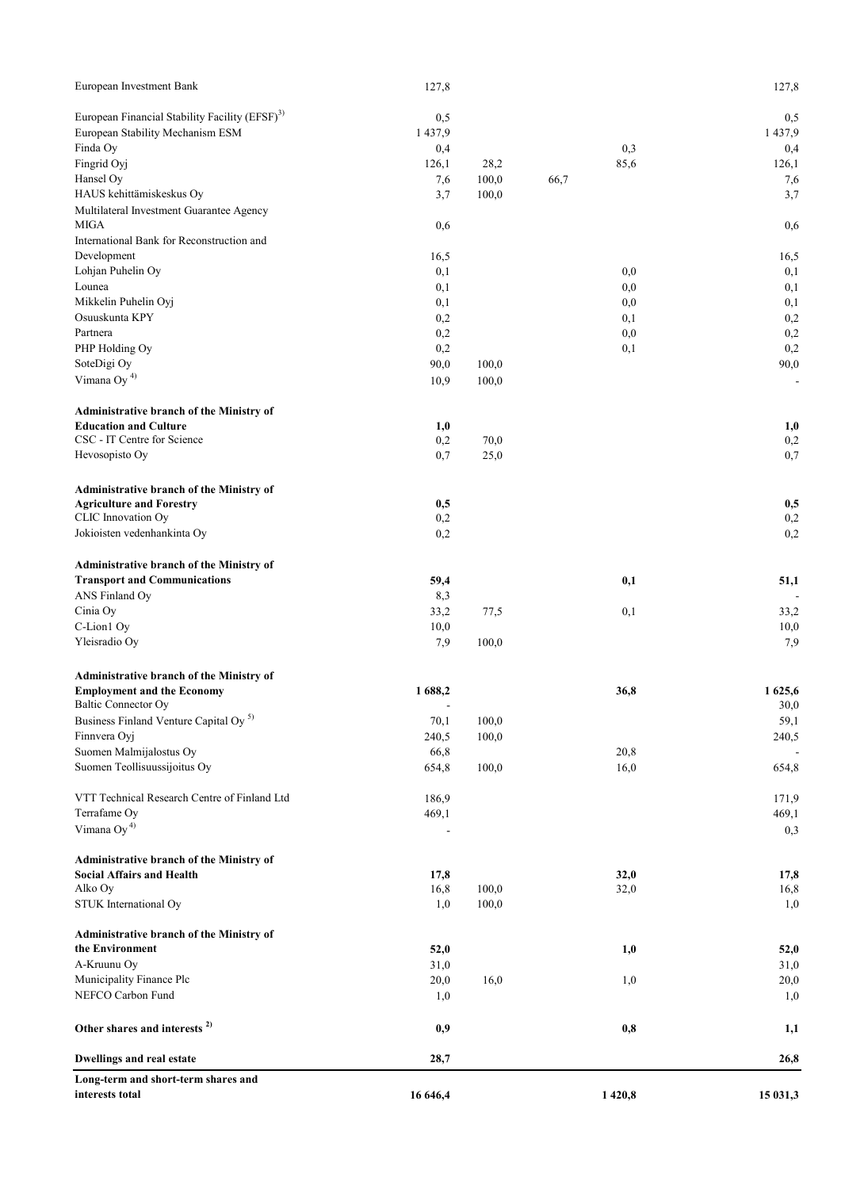| Long-term and short-term shares and<br>interests total     | 16 646,4   |       | 1 4 2 0 , 8 |            | 15 031,3    |
|------------------------------------------------------------|------------|-------|-------------|------------|-------------|
| <b>Dwellings and real estate</b>                           | 28,7       |       |             |            | 26,8        |
| Other shares and interests <sup>2)</sup>                   | 0,9        |       |             | 0,8        | 1,1         |
| NEFCO Carbon Fund                                          | 1,0        |       |             |            | 1,0         |
| Municipality Finance Plc                                   | 20,0       | 16,0  |             | 1,0        | 20,0        |
| A-Kruunu Oy                                                | 31,0       |       |             |            | 31,0        |
| the Environment                                            | 52,0       |       |             | 1,0        | 52,0        |
| Administrative branch of the Ministry of                   |            |       |             |            |             |
| STUK International Oy                                      | 1,0        | 100,0 |             |            | 1,0         |
| Alko Oy                                                    | 16,8       | 100,0 | 32,0        |            | 16,8        |
| <b>Social Affairs and Health</b>                           | 17,8       |       | 32,0        |            | 17,8        |
| Administrative branch of the Ministry of                   |            |       |             |            |             |
| Vimana Oy <sup>4)</sup>                                    |            |       |             |            | 0,3         |
| Terrafame Oy                                               | 469,1      |       |             |            | 469,1       |
| VTT Technical Research Centre of Finland Ltd               | 186,9      |       |             |            | 171,9       |
| Suomen Teollisuussijoitus Oy                               | 654,8      | 100,0 | 16,0        |            | 654,8       |
| Suomen Malmijalostus Oy                                    | 66,8       |       | 20,8        |            |             |
| Finnvera Oyj                                               | 240,5      | 100,0 |             |            | 240,5       |
| Business Finland Venture Capital Oy <sup>5)</sup>          | 70,1       | 100,0 |             |            | 59,1        |
| Baltic Connector Oy                                        |            |       |             |            | 30,0        |
| <b>Employment and the Economy</b>                          | 1688,2     |       | 36,8        |            | 1 625,6     |
| Administrative branch of the Ministry of                   |            |       |             |            |             |
| Yleisradio Oy                                              | 7,9        | 100,0 |             |            | 7,9         |
| C-Lion1 Oy                                                 | 10,0       |       |             |            | 10,0        |
| Cinia Oy                                                   | 33,2       | 77,5  |             | 0,1        | 33,2        |
| ANS Finland Oy                                             | 8,3        |       |             |            |             |
| <b>Transport and Communications</b>                        | 59,4       |       |             | 0,1        | 51,1        |
| Administrative branch of the Ministry of                   |            |       |             |            |             |
| Jokioisten vedenhankinta Oy                                | 0,2        |       |             |            | 0,2         |
| CLIC Innovation Oy                                         | 0,2        |       |             |            | 0,2         |
| <b>Agriculture and Forestry</b>                            | 0,5        |       |             |            | 0,5         |
| Administrative branch of the Ministry of                   |            |       |             |            |             |
| Hevosopisto Oy                                             | 0,7        | 25,0  |             |            | 0,7         |
| CSC - IT Centre for Science                                | 0,2        | 70,0  |             |            | 0,2         |
| <b>Education and Culture</b>                               | 1,0        |       |             |            | 1,0         |
| Administrative branch of the Ministry of                   |            |       |             |            |             |
| Vimana Oy <sup>4)</sup>                                    | 10,9       | 100,0 |             |            |             |
| SoteDigi Oy                                                | 90,0       | 100,0 |             |            | 90,0        |
| PHP Holding Oy                                             | 0,2        |       |             | 0,1        | 0,2         |
| Partnera                                                   | 0,2<br>0,2 |       |             | 0,0        | 0,2         |
| Mikkelin Puhelin Oyj<br>Osuuskunta KPY                     | 0,1        |       |             | 0,0<br>0,1 | 0,1<br>0,2  |
| Lounea                                                     | 0,1        |       |             | 0,0        | 0,1         |
| Lohjan Puhelin Oy                                          | 0,1        |       |             | 0,0        | 0,1         |
| Development                                                | 16,5       |       |             |            | 16,5        |
| International Bank for Reconstruction and                  |            |       |             |            |             |
| Multilateral Investment Guarantee Agency<br><b>MIGA</b>    | 0,6        |       |             |            | 0,6         |
| HAUS kehittämiskeskus Oy                                   | 3,7        | 100,0 |             |            | 3,7         |
| Hansel Oy                                                  | 7,6        | 100,0 | 66,7        |            | 7,6         |
| Fingrid Oyj                                                | 126,1      | 28,2  | 85,6        |            | 126,1       |
| Finda Oy                                                   | 0,4        |       |             | 0,3        | 0,4         |
| European Stability Mechanism ESM                           | 1 4 3 7, 9 |       |             |            | 1 4 3 7 , 9 |
| European Financial Stability Facility (EFSF) <sup>3)</sup> | 0,5        |       |             |            | 0,5         |
|                                                            | 127,8      |       |             |            |             |
| European Investment Bank                                   |            |       |             |            | 127,8       |